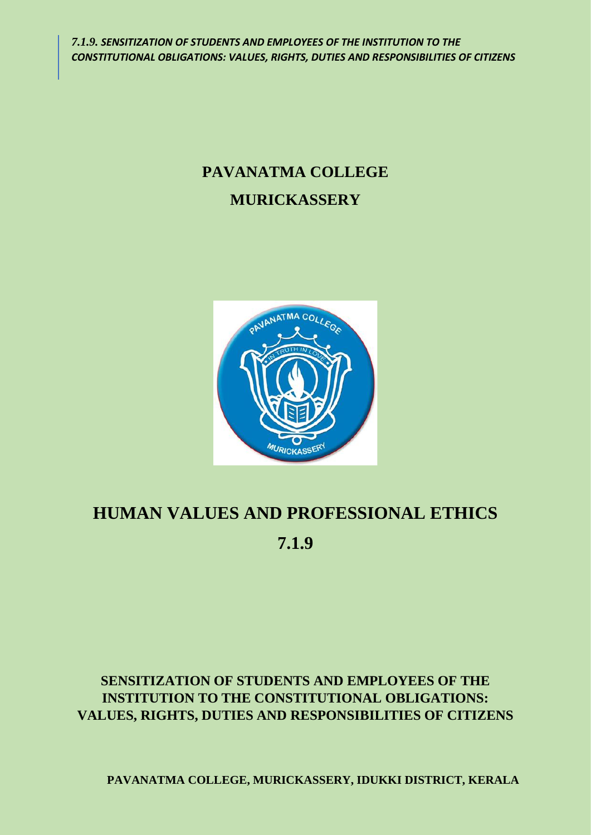# **PAVANATMA COLLEGE MURICKASSERY**



# **HUMAN VALUES AND PROFESSIONAL ETHICS 7.1.9**

# **SENSITIZATION OF STUDENTS AND EMPLOYEES OF THE INSTITUTION TO THE CONSTITUTIONAL OBLIGATIONS: VALUES, RIGHTS, DUTIES AND RESPONSIBILITIES OF CITIZENS**

**PAVANATMA COLLEGE, MURICKASSERY, IDUKKI DISTRICT, KERALA**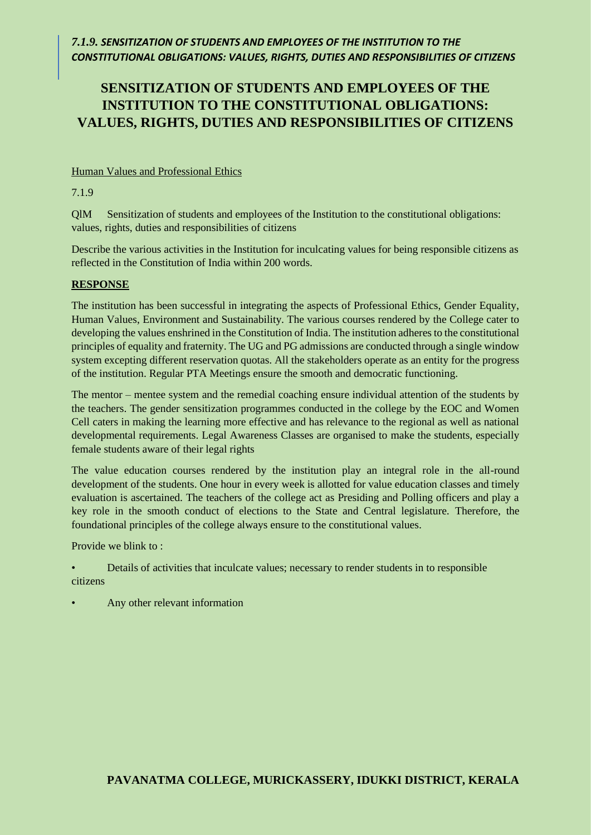## *7.1.9. SENSITIZATION OF STUDENTS AND EMPLOYEES OF THE INSTITUTION TO THE CONSTITUTIONAL OBLIGATIONS: VALUES, RIGHTS, DUTIES AND RESPONSIBILITIES OF CITIZENS*

# **SENSITIZATION OF STUDENTS AND EMPLOYEES OF THE INSTITUTION TO THE CONSTITUTIONAL OBLIGATIONS: VALUES, RIGHTS, DUTIES AND RESPONSIBILITIES OF CITIZENS**

### Human Values and Professional Ethics

7.1.9

QlM Sensitization of students and employees of the Institution to the constitutional obligations: values, rights, duties and responsibilities of citizens

Describe the various activities in the Institution for inculcating values for being responsible citizens as reflected in the Constitution of India within 200 words.

#### **RESPONSE**

The institution has been successful in integrating the aspects of Professional Ethics, Gender Equality, Human Values, Environment and Sustainability. The various courses rendered by the College cater to developing the values enshrined in the Constitution of India. The institution adheres to the constitutional principles of equality and fraternity. The UG and PG admissions are conducted through a single window system excepting different reservation quotas. All the stakeholders operate as an entity for the progress of the institution. Regular PTA Meetings ensure the smooth and democratic functioning.

The mentor – mentee system and the remedial coaching ensure individual attention of the students by the teachers. The gender sensitization programmes conducted in the college by the EOC and Women Cell caters in making the learning more effective and has relevance to the regional as well as national developmental requirements. Legal Awareness Classes are organised to make the students, especially female students aware of their legal rights

The value education courses rendered by the institution play an integral role in the all-round development of the students. One hour in every week is allotted for value education classes and timely evaluation is ascertained. The teachers of the college act as Presiding and Polling officers and play a key role in the smooth conduct of elections to the State and Central legislature. Therefore, the foundational principles of the college always ensure to the constitutional values.

Provide we blink to :

- Details of activities that inculcate values; necessary to render students in to responsible citizens
- Any other relevant information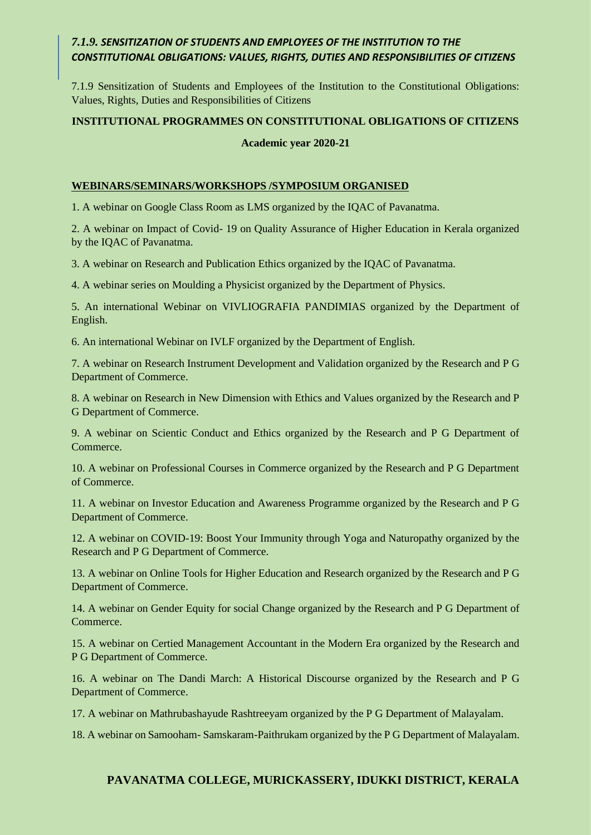## *7.1.9. SENSITIZATION OF STUDENTS AND EMPLOYEES OF THE INSTITUTION TO THE CONSTITUTIONAL OBLIGATIONS: VALUES, RIGHTS, DUTIES AND RESPONSIBILITIES OF CITIZENS*

7.1.9 Sensitization of Students and Employees of the Institution to the Constitutional Obligations: Values, Rights, Duties and Responsibilities of Citizens

#### **INSTITUTIONAL PROGRAMMES ON CONSTITUTIONAL OBLIGATIONS OF CITIZENS**

#### **Academic year 2020-21**

#### **WEBINARS/SEMINARS/WORKSHOPS /SYMPOSIUM ORGANISED**

1. A webinar on Google Class Room as LMS organized by the IQAC of Pavanatma.

2. A webinar on Impact of Covid- 19 on Quality Assurance of Higher Education in Kerala organized by the IQAC of Pavanatma.

3. A webinar on Research and Publication Ethics organized by the IQAC of Pavanatma.

4. A webinar series on Moulding a Physicist organized by the Department of Physics.

5. An international Webinar on VIVLIOGRAFIA PANDIMIAS organized by the Department of English.

6. An international Webinar on IVLF organized by the Department of English.

7. A webinar on Research Instrument Development and Validation organized by the Research and P G Department of Commerce.

8. A webinar on Research in New Dimension with Ethics and Values organized by the Research and P G Department of Commerce.

9. A webinar on Scientic Conduct and Ethics organized by the Research and P G Department of Commerce.

10. A webinar on Professional Courses in Commerce organized by the Research and P G Department of Commerce.

11. A webinar on Investor Education and Awareness Programme organized by the Research and P G Department of Commerce.

12. A webinar on COVID-19: Boost Your Immunity through Yoga and Naturopathy organized by the Research and P G Department of Commerce.

13. A webinar on Online Tools for Higher Education and Research organized by the Research and P G Department of Commerce.

14. A webinar on Gender Equity for social Change organized by the Research and P G Department of Commerce.

15. A webinar on Certied Management Accountant in the Modern Era organized by the Research and P G Department of Commerce.

16. A webinar on The Dandi March: A Historical Discourse organized by the Research and P G Department of Commerce.

17. A webinar on Mathrubashayude Rashtreeyam organized by the P G Department of Malayalam.

18. A webinar on Samooham- Samskaram-Paithrukam organized by the P G Department of Malayalam.

#### **PAVANATMA COLLEGE, MURICKASSERY, IDUKKI DISTRICT, KERALA**